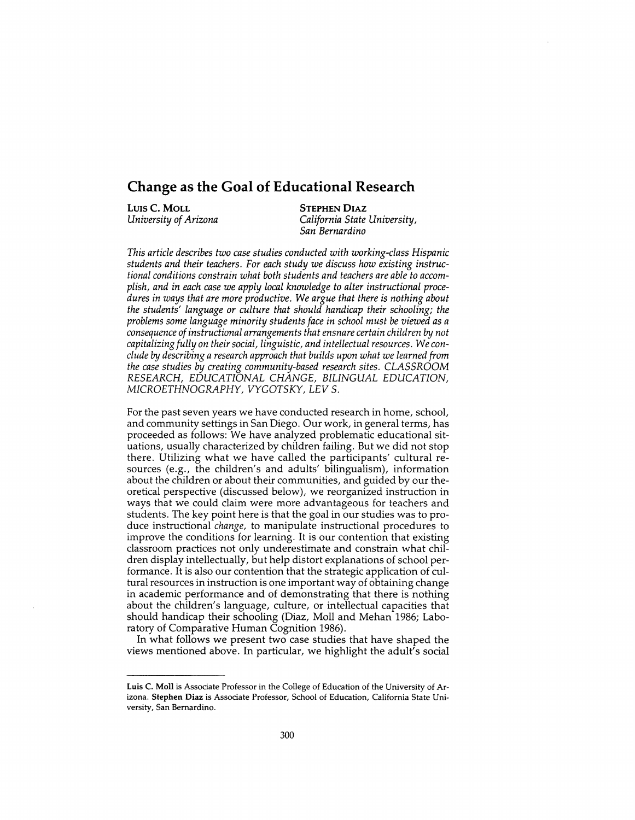# **Change as the Goal of Educational Research**

Luis C. Moll *University of Arizona*  **STEPHEN DIAZ**  *California State University, San Bernardino* 

*This article describes two case studies conducted with working-class Hispanic students and their teachers. For each study we discuss how existing instructional conditions constrain what both students and teachers are able to accomplish, and in each case we apply local knowledge to alter instructional procedures in ways that are more productive. We argue that there* is *nothing about the students' language or culture that should handicap their schooling; the problems some language minority students face in school must be viewed as a consequence of instructional arrangements that ensnare certain children by not capitalizing fully on their social, linguistic, and intellectual resources. We conclude by describing a research approach that builds upon what we learned from the case studies by creating community-based research sites. CLASSROOM RESEARCH, EDUCATIONAL CHANGE, BILINGUAL EDUCATION, MICROETHNOGRAPHY, VYGOTSKY, LEV* S.

For the past seven years we have conducted research in home, school, and community settings in San Diego. Our work, in general terms, has proceeded as follows: We have analyzed problematic educational situations, usually characterized by children failing. But we did not stop there. Utilizing what we have called the participants' cultural resources (e.g., the children's and adults' bilingualism), information about the children or about their communities, and guided by our theoretical perspective (discussed below), we reorganized instruction in ways that we could claim were more advantageous for teachers and students. The key point here is that the goal in our studies was to produce instructional *change,* to manipulate instructional procedures to improve the conditions for learning. It is our contention that existing classroom practices not only underestimate and constrain what children display intellectually, but help distort explanations of school performance. It is also our contention that the strategic application of cultural resources in instruction is one important way of obtaining change in academic performance and of demonstrating that there is nothing about the children's language, culture, or intellectual capacities that should handicap their schooling (Diaz, Moll and Mehan 1986; Laboratory of Comparative Human Cognition 1986).

In what follows we present two case studies that have shaped the views mentioned above. In particular, we highlight the adult's social

**Luis C. Moll** is Associate Professor in the College of Education of the University of Arizona. **Stephen Diaz** is Associate Professor, School of Education, California State University, San Bernardino.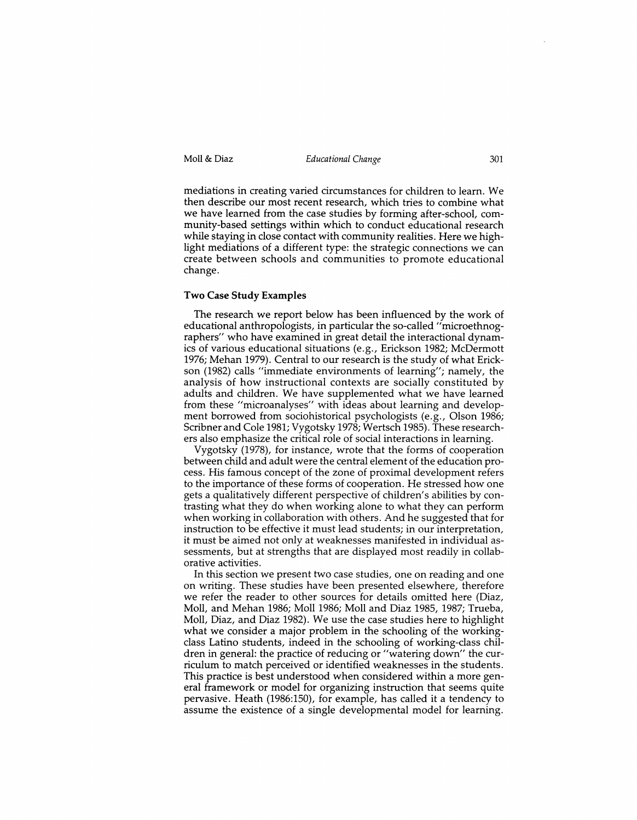mediations in creating varied circumstances for children to learn. We then describe our most recent research, which tries to combine what we have learned from the case studies by forming after-school, community-based settings within which to conduct educational research while staying in close contact with community realities. Here we highlight mediations of a different type: the strategic connections we can create between schools and communities to promote educational change.

## **Two Case Study Examples**

The research we report below has been influenced by the work of educational anthropologists, in particular the so-called "microethnographers" who have examined in great detail the interactional dynamics of various educational situations (e.g., Erickson 1982; McDermott 1976; Mehan 1979). Central to our research is the study of what Erickson (1982) calls "immediate environments of learning"; namely, the analysis of how instructional contexts are socially constituted by adults and children. We have supplemented what we have learned from these "microanalyses" with ideas about learning and development borrowed from sociohistorical psychologists (e.g., Olson 1986; Scribner and Cole 1981; Vygotsky 1978; Wertsch 1985). These researchers also emphasize the critical role of social interactions in learning.

Vygotsky (1978), for instance, wrote that the forms of cooperation between child and adult were the central element of the education process. His famous concept of the zone of proximal development refers to the importance of these forms of cooperation. He stressed how one gets a qualitatively different perspective of children's abilities by contrasting what they do when working alone to what they can perform when working in collaboration with others. And he suggested that for instruction to be effective it must lead students; in our interpretation, it must be aimed not only at weaknesses manifested in individual assessments, but at strengths that are displayed most readily in collaborative activities.

In this section we present two case studies, one on reading and one on writing. These studies have been presented elsewhere, therefore we refer the reader to other sources for details omitted here (Diaz, Moll, and Mehan 1986; Moll 1986; Moll and Diaz 1985, 1987; Trueba, Moll, Diaz, and Diaz 1982). We use the case studies here to highlight what we consider a major problem in the schooling of the workingclass Latino students, indeed in the schooling of working-class children in general: the practice of reducing or "watering down" the curriculum to match perceived or identified weaknesses in the students. This practice is best understood when considered within a more general framework or model for organizing instruction that seems quite pervasive. Heath (1986:150), for example, has called it a tendency to assume the existence of a single developmental model for learning.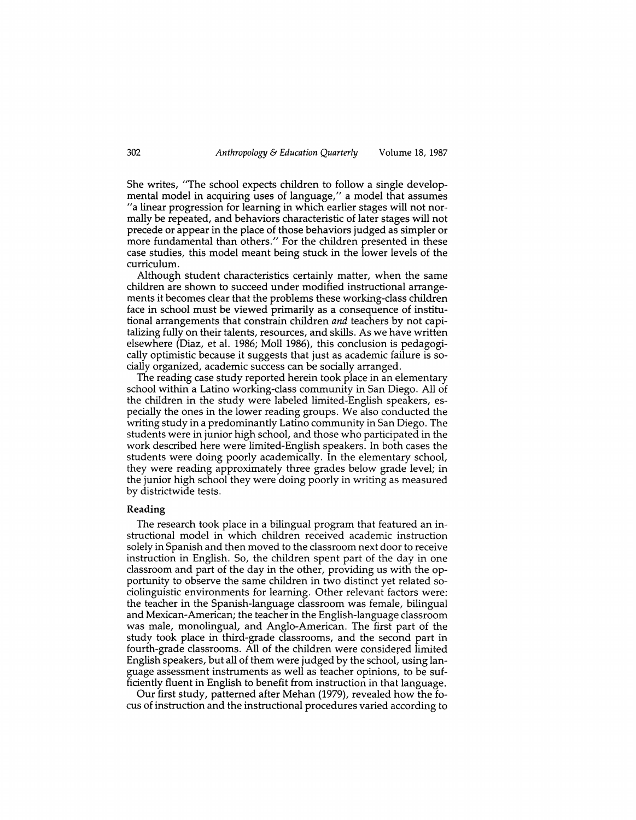She writes, "The school expects children to follow a single developmental model in acquiring uses of language," a model that assumes "a linear progression for learning in which earlier stages will not normally be repeated, and behaviors characteristic of later stages will not precede or appear in the place of those behaviors judged as simpler or more fundamental than others." For the children presented in these case studies, this model meant being stuck in the lower levels of the curriculum.

Although student characteristics certainly matter, when the same children are shown to succeed under modified instructional arrangements it becomes clear that the problems these working-class children face in school must be viewed primarily as a consequence of institutional arrangements that constrain children *and* teachers by not capitalizing fully on their talents, resources, and skills. As we have written elsewhere (Diaz, et al. 1986; Moll 1986), this conclusion is pedagogically optimistic because it suggests that just as academic failure is socially organized, academic success can be socially arranged.

The reading case study reported herein took place in an elementary school within a Latino working-class community in San Diego. All of the children in the study were labeled limited-English speakers, especially the ones in the lower reading groups. We also conducted the writing study in a predominantly Latino community in San Diego. The students were in junior high school, and those who participated in the work described here were limited-English speakers. In both cases the students were doing poorly academically. In the elementary school, they were reading approximately three grades below grade level; in the junior high school they were doing poorly in writing as measured by districtwide tests.

## **Reading**

The research took place in a bilingual program that featured an instructional model in which children received academic instruction solely in Spanish and then moved to the classroom next door to receive instruction in English. So, the children spent part of the day in one classroom and part of the day in the other, providing us with the opportunity to observe the same children in two distinct yet related sociolinguistic environments for learning. Other relevant factors were: the teacher in the Spanish-language classroom was female, bilingual and Mexican-American; the teacher in the English-language classroom was male, monolingual, and Anglo-American. The first part of the study took place in third-grade classrooms, and the second part in fourth-grade classrooms. All of the children were considered limited English speakers, but all of them were judged by the school, using language assessment instruments as well as teacher opinions, to be sufficiently fluent in English to benefit from instruction in that language.

Our first study, patterned after Mehan (1979), revealed how the focus of instruction and the instructional procedures varied according to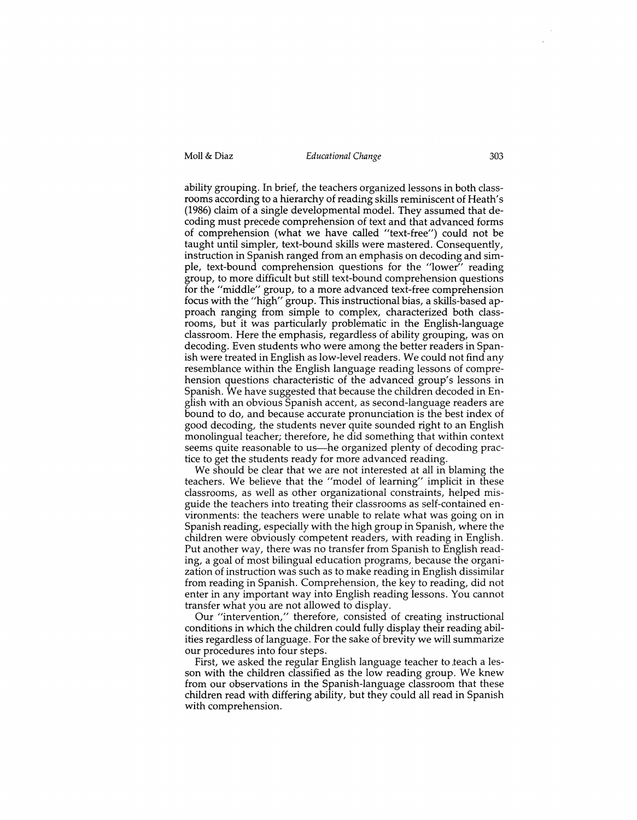# Moll & Diaz *Educational Change* 303

ability grouping. In brief, the teachers organized lessons in both classrooms according to a hierarchy of reading skills reminiscent of Heath's (1986) claim of a single developmental model. They assumed that decoding must precede comprehension of text and that advanced forms of comprehension (what we have called "text-free") could not be taught until simpler, text-bound skills were mastered. Consequently, instruction in Spanish ranged from an emphasis on decoding and simple, text-bound comprehension questions for the "lower" reading group, to more difficult but still text-bound comprehension questions for the "middle" group, to a more advanced text-free comprehension focus with the "high" group. This instructional bias, a skills-based approach ranging from simple to complex, characterized both classrooms, but it was particularly problematic in the English-language classroom. Here the emphasis, regardless of ability grouping, was on decoding. Even students who were among the better readers in Spanish were treated in English as low-level readers. We could not find any resemblance within the English language reading lessons of comprehension questions characteristic of the advanced group's lessons in Spanish. We have suggested that because the children decoded in English with an obvious Spanish accent, as second-language readers are bound to do, and because accurate pronunciation is the best index of good decoding, the students never quite sounded right to an English monolingual teacher; therefore, he did something that within context seems quite reasonable to us—he organized plenty of decoding practice to get the students ready for more advanced reading.

We should be clear that we are not interested at all in blaming the teachers. We believe that the "model of learning" implicit in these classrooms, as well as other organizational constraints, helped misguide the teachers into treating their classrooms as self-contained environments: the teachers were unable to relate what was going on in Spanish reading, especially with the high group in Spanish, where the children were obviously competent readers, with reading in English. Put another way, there was no transfer from Spanish to English reading, a goal of most bilingual education programs, because the organization of instruction was such as to make reading in English dissimilar from reading in Spanish. Comprehension, the key to reading, did not enter in any important way into English reading lessons. You cannot transfer what you are not allowed to display.

Our "intervention," therefore, consisted of creating instructional conditions in which the children could fully display their reading abilities regardless of language. For the sake of brevity we will summarize our procedures into four steps.

First, we asked the regular English language teacher to teach a lesson with the children classified as the low reading group. We knew from our observations in the Spanish-language classroom that these children read with differing ability, but they could all read in Spanish with comprehension.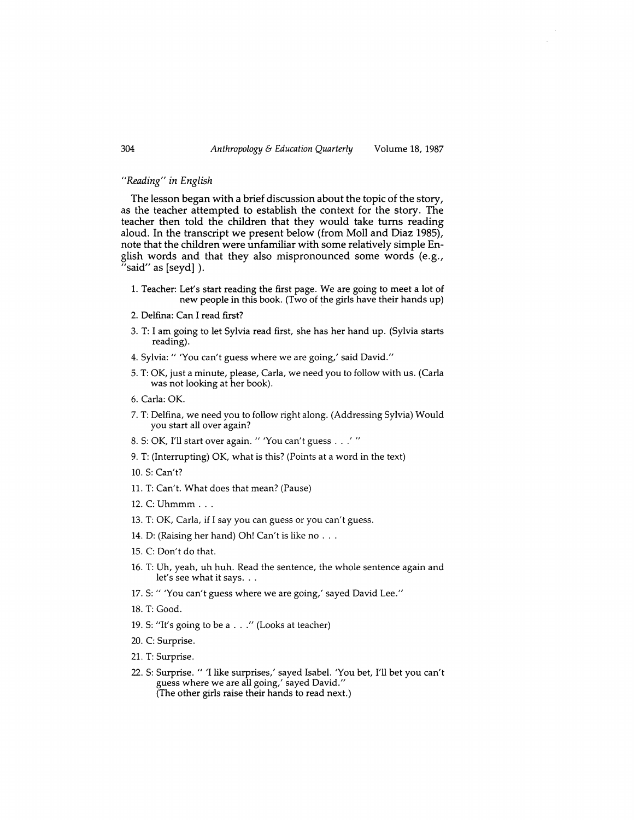# *"Reading" in English*

The lesson began with a brief discussion about the topic of the story, as the teacher attempted to establish the context for the story. The teacher then told the children that they would take turns reading aloud. In the transcript we present below (from Moll and Diaz 1985), note that the children were unfamiliar with some relatively simple English words and that they also mispronounced some words (e.g.,  $\left[$ 'said'' as  $[$ seyd $]$ ).

- 1. Teacher: Let's start reading the first page. We are going to meet a lot of new people in this book. (Two of the girls have their hands up)
- 2. Delfina: Can I read first?
- 3. T: I am going to let Sylvia read first, she has her hand up. (Sylvia starts reading).
- 4. Sylvia:" 'You can't guess where we are going,' said David."
- 5. T: OK, just a minute, please, Carla, we need you to follow with us. (Carla was not looking at her book).
- 6. Carla: OK.
- 7. T: Delfina, we need you to follow right along. (Addressing Sylvia) Would you start all over again?
- 8. S: OK, I'll start over again. " 'You can't guess .. .' "
- 9. T: (Interrupting) OK, what is this? (Points at a word in the text)
- 10. S: Can't?
- 11. T: Can't. What does that mean? (Pause)
- 12. C: Uhmmm ...
- 13. T: OK, Carla, if I say you can guess or you can't guess.
- 14. D: (Raising her hand) Oh! Can't is like no . . .
- 15. C: Don't do that.
- 16. T: Uh, yeah, uh huh. Read the sentence, the whole sentence again and let's see what it says. . .
- 17. S: " 'You can't guess where we are going,' sayed David Lee."
- 18. T: Good.
- 19. S: "It's going to be a ... " (Looks at teacher)
- 20. C: Surprise.
- 21. T: Surprise.
- 22. S: Surprise. " 'I like surprises,' sayed Isabel. 'You bet, I'll bet you can't guess where we are all going,' sayed David." (The other girls raise their hands to read next.)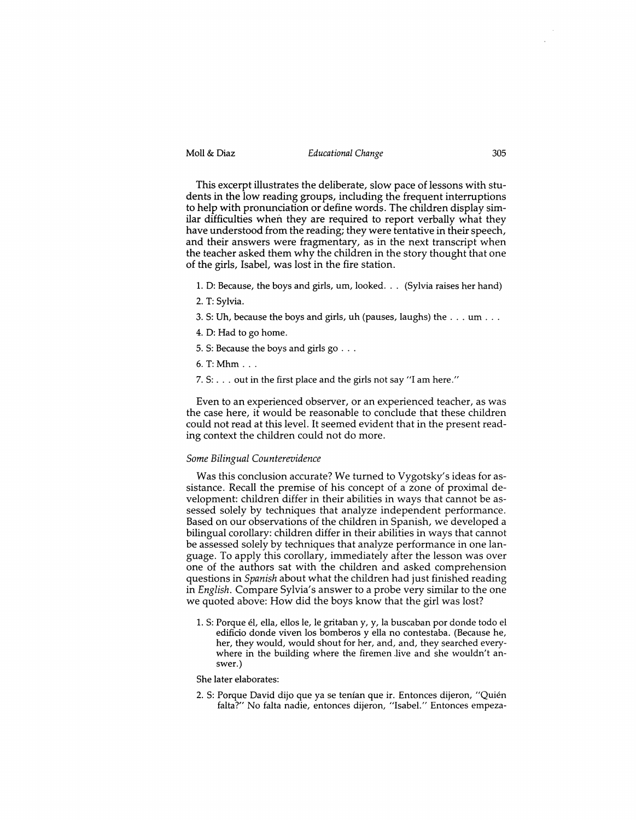This excerpt illustrates the deliberate, slow pace of lessons with students in the low reading groups, including the frequent interruptions to help with pronunciation or define words. The children display similar difficulties when they are required to report verbally what they have understood from the reading; they were tentative in their speech, and their answers were fragmentary, as in the next transcript when the teacher asked them why the children in the story thought that one of the girls, Isabel, was lost in the fire station.

- 1. D: Because, the boys and girls, um, looked. . . (Sylvia raises her hand)
- 2. T: Sylvia.
- 3. S: Uh, because the boys and girls, uh (pauses, laughs) the  $\dots$  um  $\dots$ .
- 4. D: Had to go home.
- 5. S: Because the boys and girls go ...
- 6. T:Mhm ...
- 7. S: ... out in the first place and the girls not say "I am here."

Even to an experienced observer, or an experienced teacher, as was the case here, it would be reasonable to conclude that these children could not read at this level. It seemed evident that in the present reading context the children could not do more.

#### *Some Bilingual Counterevidence*

Was this conclusion accurate? We turned to Vygotsky's ideas for assistance. Recall the premise of his concept of a zone of proximal development: children differ in their abilities in ways that cannot be assessed solely by techniques that analyze independent performance. Based on our observations of the children in Spanish, we developed a bilingual corollary: children differ in their abilities in ways that cannot be assessed solely by techniques that analyze performance in one language. To apply this corollary, immediately after the lesson was over one of the authors sat with the children and asked comprehension questions in *Spanish* about what the children had just finished reading in *English.* Compare Sylvia's answer to a probe very similar to the one we quoted above: How did the boys know that the girl was lost?

1. S: Porque el, ella, ellos le, le gritaban y, y, la buscaban por donde todo el edificio donde viven los bomberos y ella no contestaba. (Because he, her, they would, would shout for her, and, and, they searched everywhere in the building where the firemen live and she wouldn't answer.)

#### She later elaborates:

2. S: Porque David dijo que ya se tenian que ir. Entonces dijeron, "Quien falta?" No falta nadie, entonces dijeron, "Isabel." Entonces empeza-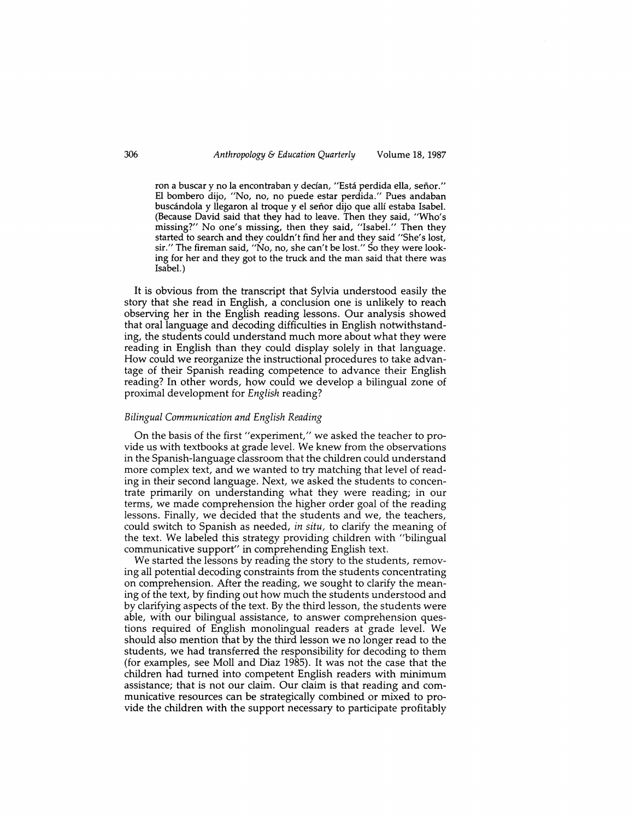ron a buscar y no la encontraban y decian, "Esta perdida ella, senor." El bombero dijo, "No, no, no puede estar perdida." Pues andaban buscandola y llegaron al troque y el senor dijo que alli estaba Isabel. (Because David said that they had to leave. Then they said, "Who's missing?" No one's missing, then they said, "Isabel." Then they started to search and they couldn't find her and they said "She's lost, sir." The fireman said, "No, no, she can't be lost." So they were looking for her and they got to the truck and the man said that there was Isabel.)

It is obvious from the transcript that Sylvia understood easily the story that she read in English, a conclusion one is unlikely to reach observing her in the English reading lessons. Our analysis showed that oral language and decoding difficulties in English notwithstanding, the students could understand much more about what they were reading in English than they could display solely in that language. How could we reorganize the instructional procedures to take advantage of their Spanish reading competence to advance their English reading? In other words, how could we develop a bilingual zone of proximal development for *English* reading?

# *Bilingual Communication and English Reading*

On the basis of the first "experiment," we asked the teacher to provide us with textbooks at grade level. We knew from the observations in the Spanish-language classroom that the children could understand more complex text, and we wanted to try matching that level of reading in their second language. Next, we asked the students to concentrate primarily on understanding what they were reading; in our terms, we made comprehension the higher order goal of the reading lessons. Finally, we decided that the students and we, the teachers, could switch to Spanish as needed, *in situ,* to clarify the meaning of the text. We labeled this strategy providing children with "bilingual communicative support" in comprehending English text.

We started the lessons by reading the story to the students, removing all potential decoding constraints from the students concentrating on comprehension. After the reading, we sought to clarify the meaning of the text, by finding out how much the students understood and by clarifying aspects of the text. By the third lesson, the students were able, with our bilingual assistance, to answer comprehension questions required of English monolingual readers at grade level. We should also mention that by the third lesson we no longer read to the students, we had transferred the responsibility for decoding to them (for examples, see Moll and Diaz 1985). It was not the case that the children had turned into competent English readers with minimum assistance; that is not our claim. Our claim is that reading and communicative. resources can be strategically combined or mixed to provide the children with the support necessary to participate profitably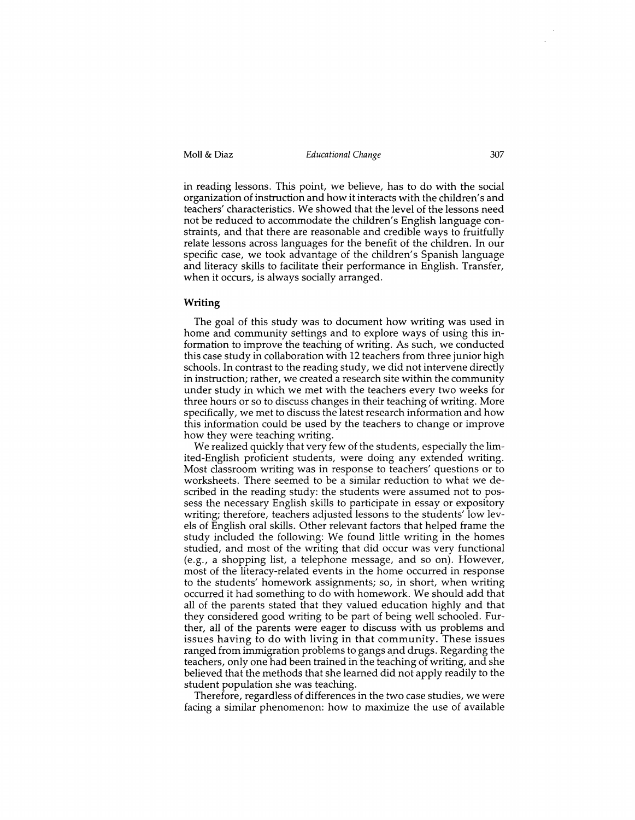in reading lessons. This point, we believe, has to do with the social organization of instruction and how it interacts with the children's and teachers' characteristics. We showed that the level of the lessons need not be reduced to accommodate the children's English language constraints, and that there are reasonable and credible ways to fruitfully relate lessons across languages for the benefit of the children. In our specific case, we took advantage of the children's Spanish language and literacy skills to facilitate their performance in English. Transfer, when it occurs, is always socially arranged.

# **Writing**

The goal of this study was to document how writing was used in home and community settings and to explore ways of using this information to improve the teaching of writing. As such, we conducted this case study in collaboration with 12 teachers from three junior high schools. In contrast to the reading study, we did not intervene directly in instruction; rather, we created a research site within the community under study in which we met with the teachers every two weeks for three hours or so to discuss changes in their teaching of writing. More specifically, we met to discuss the latest research information and how this information could be used by the teachers to change or improve how they were teaching writing.

We realized quickly that very few of the students, especially the limited-English proficient students, were doing any extended writing. Most classroom writing was in response to teachers' questions or to worksheets. There seemed to be a similar reduction to what we described in the reading study: the students were assumed not to possess the necessary English skills to participate in essay or expository writing; therefore, teachers adjusted lessons to the students' low levels of English oral skills. Other relevant factors that helped frame the study included the following: We found little writing in the homes studied, and most of the writing that did occur was very functional (e.g., a shopping list, a telephone message, and so on). However, most of the literacy-related events in the home occurred in response to the students' homework assignments; so, in short, when writing occurred it had something to do with homework. We should add that all of the parents stated that they valued education highly and that they considered good writing to be part of being well schooled. Further, all of the parents were eager to discuss with us problems and issues having to do with living in that community. These issues ranged from immigration problems to gangs and drugs. Regarding the teachers, only one had been trained in the teaching of writing, and she believed that the methods that she learned did not apply readily to the student population she was teaching.

Therefore, regardless of differences in the two case studies, we were facing a similar phenomenon: how to maximize the use of available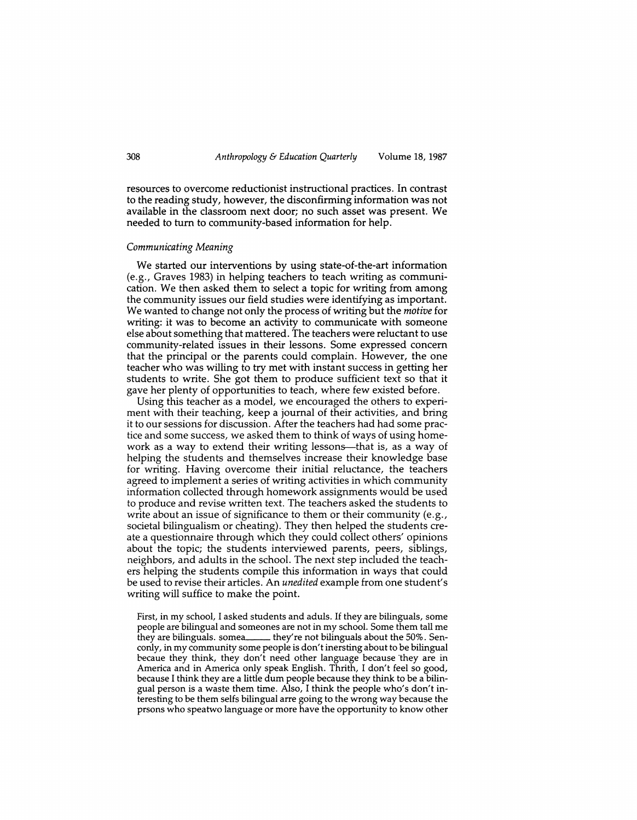resources to overcome reductionist instructional practices. In contrast to the reading study, however, the disconfirming information was not available in the classroom next door; no such asset was present. We needed to tum to community-based information for help.

# *Communicating Meaning*

We started our interventions by using state-of-the-art information (e.g., Graves 1983) in helping teachers to teach writing as communication. We then asked them to select a topic for writing from among the community issues our field studies were identifying as important. We wanted to change not only the process of writing but the *motive* for writing: it was to become an activity to communicate with someone else about something that mattered. The teachers were reluctant to use community-related issues in their lessons. Some expressed concern that the principal or the parents could complain. However, the one teacher who was willing to try met with instant success in getting her students to write. She got them to produce sufficient text so that it gave her plenty of opportunities to teach, where few existed before.

Using this teacher as a model, we encouraged the others to experiment with their teaching, keep a journal of their activities, and bring it to our sessions for discussion. After the teachers had had some practice and some success, we asked them to think of ways of using homework as a way to extend their writing lessons---that is, as a way of helping the students and themselves increase their knowledge base for writing. Having overcome their initial reluctance, the teachers agreed to implement a series of writing activities in which community information collected through homework assignments would be used to produce and revise written text. The teachers asked the students to write about an issue of significance to them or their community (e.g., societal bilingualism or cheating). They then helped the students create a questionnaire through which they could collect others' opinions about the topic; the students interviewed parents, peers, siblings, neighbors, and adults in the school. The next step included the teachers helping the students compile this information in ways that could be used to revise their articles. An *unedited* example from one student's writing will suffice to make the point.

First, in my school, I asked students and aduls. If they are bilinguals, some people are bilingual and someones are not in my school. Some them tall me they are bilinguals. some a they' re not bilinguals about the 50%. Senconly, in my community some people is don't inersting about to be bilingual becaue they think, they don't need other language because they are in America and in America only speak English. Thrith, I don't feel so good, because I think they are a little dum people because they think to be a bilingual person is a waste them time. Also, I think the people who's don't interesting to be them selfs bilingual arre going to the wrong way because the prsons who speatwo language or more have the opportunity to know other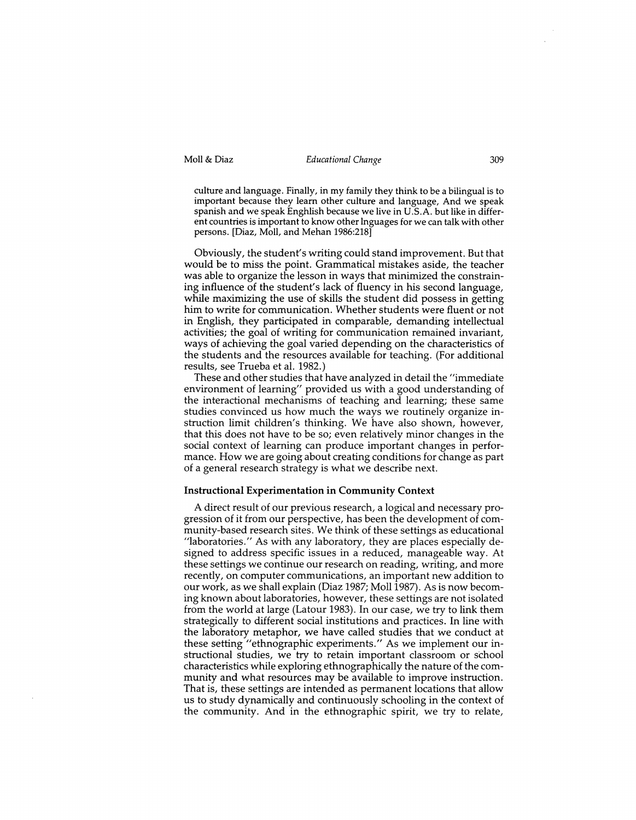culture and language. Finally, in my family they think to be a bilingual is to important because they learn other culture and language, And we speak spanish and we speak Enghlish because we live in U.S.A. but like in different countries is important to know other lnguages for we can talk with other persons. [Diaz, Moll, and Mehan 1986:218]

Obviously, the student's writing could stand improvement. But that would be to miss the point. Grammatical mistakes aside, the teacher was able to organize the lesson in ways that minimized the constraining influence of the student's lack of fluency in his second language, while maximizing the use of skills the student did possess in getting him to write for communication. Whether students were fluent or not in English, they participated in comparable, demanding intellectual activities; the goal of writing for communication remained invariant, ways of achieving the goal varied depending on the characteristics of the students and the resources available for teaching. (For additional results, see Trueba et al. 1982.)

These and other studies that have analyzed in detail the "immediate environment of learning" provided us with a good understanding of the interactional mechanisms of teaching and learning; these same studies convinced us how much the ways we routinely organize instruction limit children's thinking. We have also shown, however, that this does not have to be so; even relatively minor changes in the social context of learning can produce important changes in performance. How we are going about creating conditions for change as part of a general research strategy is what we describe next.

## **Instructional Experimentation in Community Context**

A direct result of our previous research, a logical and necessary progression of it from our perspective, has been the development of community-based research sites. We think of these settings as educational "laboratories." As with any laboratory, they are places especially designed to address specific issues in a reduced, manageable way. At these settings we continue our research on reading, writing, and more recently, on computer communications, an important new addition to our work, as we shall explain (Diaz 1987; Moll 1987). As is now becoming known about laboratories, however, these settings are not isolated from the world at large (Latour 1983). In our case, we try to link them strategically to different social institutions and practices. In line with the laboratory metaphor, we have called studies that we conduct at these setting "ethnographic experiments." As we implement our instructional studies, we try to retain important classroom or school characteristics while exploring ethnographically the nature of the community and what resources may be available to improve instruction. That is, these settings are intended as permanent locations that allow us to study dynamically and continuously schooling in the context of the community. And in the ethnographic spirit, we try to relate,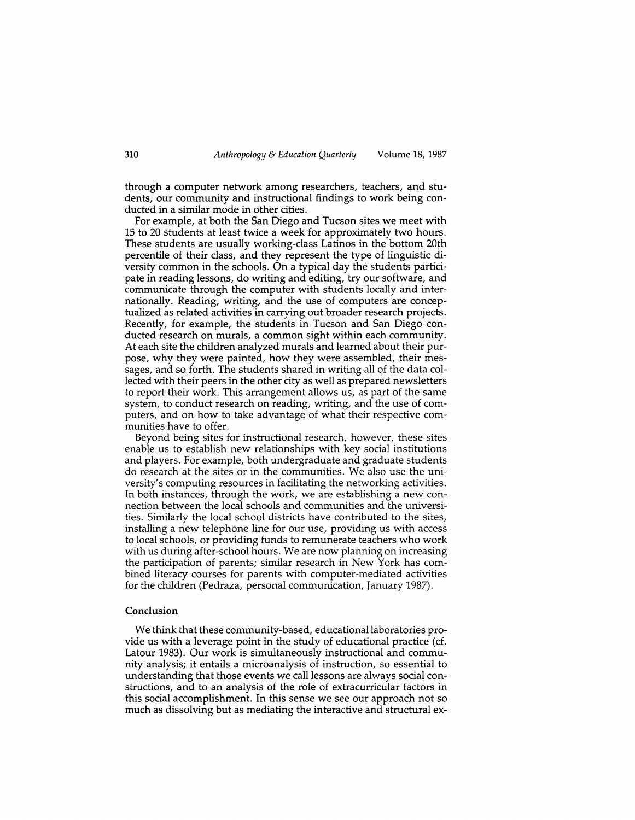through a computer network among researchers, teachers, and students, our community and instructional findings to work being conducted in a similar mode in other cities.

For example, at both the San Diego and Tucson sites we meet with 15 to 20 students at least twice a week for approximately two hours. These students are usually working-class Latinos in the bottom 20th percentile of their class, and they represent the type of linguistic diversity common in the schools. On a typical day the students participate in reading lessons, do writing and editing, try our software, and communicate through the computer with students locally and internationally. Reading, writing, and the use of computers are conceptualized as related activities in carrying out broader research projects. Recently, for example, the students in Tucson and San Diego conducted research on murals, a common sight within each community. At each site the children analyzed murals and learned about their purpose, why they were painted, how they were assembled, their messages, and so forth. The students shared in writing all of the data collected with their peers in the other city as well as prepared newsletters to report their work. This arrangement allows us, as part of the same system, to conduct research on reading, writing, and the use of computers, and on how to take advantage of what their respective communities have to offer.

Beyond being sites for instructional research, however, these sites enable us to establish new relationships with key social institutions and players. For example, both undergraduate and graduate students do research at the sites or in the communities. We also use the university's computing resources in facilitating the networking activities. In both instances, through the work, we are establishing a new connection between the local schools and communities and the universities. Similarly the local school districts have contributed to the sites, installing a new telephone line for our use, providing us with access to local schools, or providing funds to remunerate teachers who work with us during after-school hours. We are now planning on increasing the participation of parents; similar research in New York has combined literacy courses for parents with computer-mediated activities for the children (Pedraza, personal communication, January 1987).

## **Conclusion**

We think that these community-based, educational laboratories provide us with a leverage point in the study of educational practice (cf. Latour 1983). Our work is simultaneously instructional and community analysis; it entails a microanalysis of instruction, so essential to understanding that those events we call lessons are always social constructions, and to an analysis of the role of extracurricular factors in this social accomplishment. In this sense we see our approach not so much as dissolving but as mediating the interactive and structural ex-